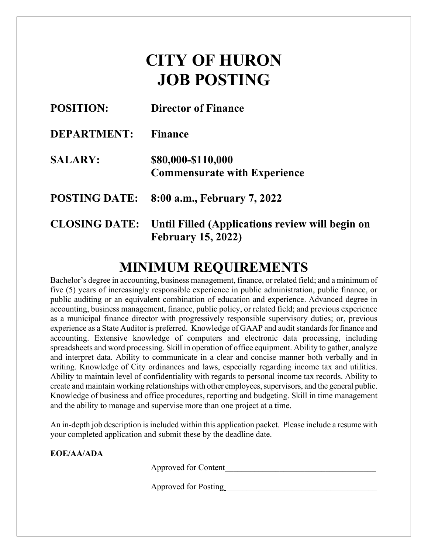# **CITY OF HURON JOB POSTING**

| <b>POSITION:</b>     | <b>Director of Finance</b>                                                   |
|----------------------|------------------------------------------------------------------------------|
| <b>DEPARTMENT:</b>   | <b>Finance</b>                                                               |
| <b>SALARY:</b>       | \$80,000-\$110,000<br><b>Commensurate with Experience</b>                    |
| <b>POSTING DATE:</b> | 8:00 a.m., February 7, 2022                                                  |
| <b>CLOSING DATE:</b> | Until Filled (Applications review will begin on<br><b>February 15, 2022)</b> |

## **MINIMUM REQUIREMENTS**

Bachelor's degree in accounting, business management, finance, or related field; and a minimum of five (5) years of increasingly responsible experience in public administration, public finance, or public auditing or an equivalent combination of education and experience. Advanced degree in accounting, business management, finance, public policy, or related field; and previous experience as a municipal finance director with progressively responsible supervisory duties; or, previous experience as a State Auditor is preferred. Knowledge of GAAP and audit standards for finance and accounting. Extensive knowledge of computers and electronic data processing, including spreadsheets and word processing. Skill in operation of office equipment. Ability to gather, analyze and interpret data. Ability to communicate in a clear and concise manner both verbally and in writing. Knowledge of City ordinances and laws, especially regarding income tax and utilities. Ability to maintain level of confidentiality with regards to personal income tax records. Ability to create and maintain working relationships with other employees, supervisors, and the general public. Knowledge of business and office procedures, reporting and budgeting. Skill in time management and the ability to manage and supervise more than one project at a time.

An in-depth job description is included within this application packet. Please include a resume with your completed application and submit these by the deadline date.

**EOE/AA/ADA**

Approved for Content

Approved for Posting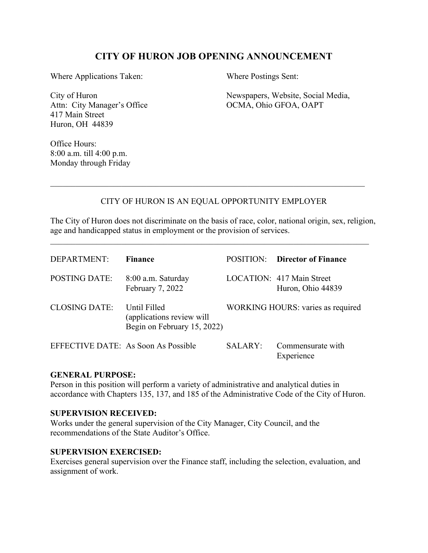#### **CITY OF HURON JOB OPENING ANNOUNCEMENT**

Where Applications Taken: Where Postings Sent:

Attn: City Manager's Office  $OCMA$ , Ohio GFOA, OAPT 417 Main Street Huron, OH 44839

City of Huron Newspapers, Website, Social Media,

Office Hours: 8:00 a.m. till 4:00 p.m. Monday through Friday

#### CITY OF HURON IS AN EQUAL OPPORTUNITY EMPLOYER

\_\_\_\_\_\_\_\_\_\_\_\_\_\_\_\_\_\_\_\_\_\_\_\_\_\_\_\_\_\_\_\_\_\_\_\_\_\_\_\_\_\_\_\_\_\_\_\_\_\_\_\_\_\_\_\_\_\_\_\_\_\_\_\_\_\_\_\_\_\_\_\_\_\_\_

The City of Huron does not discriminate on the basis of race, color, national origin, sex, religion, age and handicapped status in employment or the provision of services.

| DEPARTMENT:                         | <b>Finance</b>                                                           | POSITION: | <b>Director of Finance</b>                     |
|-------------------------------------|--------------------------------------------------------------------------|-----------|------------------------------------------------|
| <b>POSTING DATE:</b>                | 8:00 a.m. Saturday<br>February 7, 2022                                   |           | LOCATION: 417 Main Street<br>Huron, Ohio 44839 |
| <b>CLOSING DATE:</b>                | Until Filled<br>(applications review will<br>Begin on February 15, 2022) |           | WORKING HOURS: varies as required              |
| EFFECTIVE DATE: As Soon As Possible |                                                                          | SALARY:   | Commensurate with<br>Experience                |

#### **GENERAL PURPOSE:**

Person in this position will perform a variety of administrative and analytical duties in accordance with Chapters 135, 137, and 185 of the Administrative Code of the City of Huron.

#### **SUPERVISION RECEIVED:**

Works under the general supervision of the City Manager, City Council, and the recommendations of the State Auditor's Office.

#### **SUPERVISION EXERCISED:**

Exercises general supervision over the Finance staff, including the selection, evaluation, and assignment of work.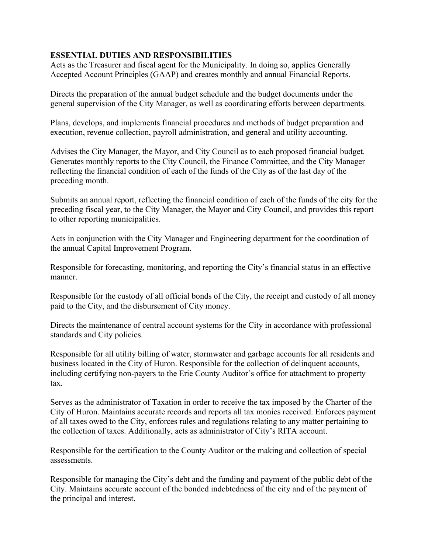#### **ESSENTIAL DUTIES AND RESPONSIBILITIES**

Acts as the Treasurer and fiscal agent for the Municipality. In doing so, applies Generally Accepted Account Principles (GAAP) and creates monthly and annual Financial Reports.

Directs the preparation of the annual budget schedule and the budget documents under the general supervision of the City Manager, as well as coordinating efforts between departments.

Plans, develops, and implements financial procedures and methods of budget preparation and execution, revenue collection, payroll administration, and general and utility accounting.

Advises the City Manager, the Mayor, and City Council as to each proposed financial budget. Generates monthly reports to the City Council, the Finance Committee, and the City Manager reflecting the financial condition of each of the funds of the City as of the last day of the preceding month.

Submits an annual report, reflecting the financial condition of each of the funds of the city for the preceding fiscal year, to the City Manager, the Mayor and City Council, and provides this report to other reporting municipalities.

Acts in conjunction with the City Manager and Engineering department for the coordination of the annual Capital Improvement Program.

Responsible for forecasting, monitoring, and reporting the City's financial status in an effective manner.

Responsible for the custody of all official bonds of the City, the receipt and custody of all money paid to the City, and the disbursement of City money.

Directs the maintenance of central account systems for the City in accordance with professional standards and City policies.

Responsible for all utility billing of water, stormwater and garbage accounts for all residents and business located in the City of Huron. Responsible for the collection of delinquent accounts, including certifying non-payers to the Erie County Auditor's office for attachment to property tax.

Serves as the administrator of Taxation in order to receive the tax imposed by the Charter of the City of Huron. Maintains accurate records and reports all tax monies received. Enforces payment of all taxes owed to the City, enforces rules and regulations relating to any matter pertaining to the collection of taxes. Additionally, acts as administrator of City's RITA account.

Responsible for the certification to the County Auditor or the making and collection of special assessments.

Responsible for managing the City's debt and the funding and payment of the public debt of the City. Maintains accurate account of the bonded indebtedness of the city and of the payment of the principal and interest.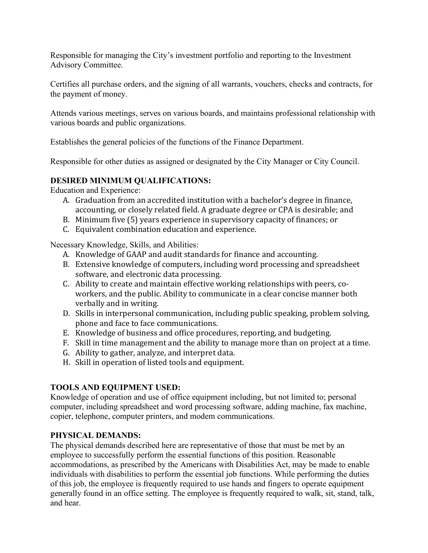Responsible for managing the City's investment portfolio and reporting to the Investment Advisory Committee.

Certifies all purchase orders, and the signing of all warrants, vouchers, checks and contracts, for the payment of money.

Attends various meetings, serves on various boards, and maintains professional relationship with various boards and public organizations.

Establishes the general policies of the functions of the Finance Department.

Responsible for other duties as assigned or designated by the City Manager or City Council.

#### **DESIRED MINIMUM QUALIFICATIONS:**

Education and Experience:

- A. Graduation from an accredited institution with a bachelor's degree in finance, accounting, or closely related field. A graduate degree or CPA is desirable; and
- B. Minimum five (5) years experience in supervisory capacity of finances; or
- C. Equivalent combination education and experience.

Necessary Knowledge, Skills, and Abilities:

- A. Knowledge of GAAP and audit standards for finance and accounting.
- B. Extensive knowledge of computers, including word processing and spreadsheet software, and electronic data processing.
- C. Ability to create and maintain effective working relationships with peers, coworkers, and the public. Ability to communicate in a clear concise manner both verbally and in writing.
- D. Skills in interpersonal communication, including public speaking, problem solving, phone and face to face communications.
- E. Knowledge of business and office procedures, reporting, and budgeting.
- F. Skill in time management and the ability to manage more than on project at a time.
- G. Ability to gather, analyze, and interpret data.
- H. Skill in operation of listed tools and equipment.

#### **TOOLS AND EQUIPMENT USED:**

Knowledge of operation and use of office equipment including, but not limited to; personal computer, including spreadsheet and word processing software, adding machine, fax machine, copier, telephone, computer printers, and modem communications.

#### **PHYSICAL DEMANDS:**

The physical demands described here are representative of those that must be met by an employee to successfully perform the essential functions of this position. Reasonable accommodations, as prescribed by the Americans with Disabilities Act, may be made to enable individuals with disabilities to perform the essential job functions. While performing the duties of this job, the employee is frequently required to use hands and fingers to operate equipment generally found in an office setting. The employee is frequently required to walk, sit, stand, talk, and hear.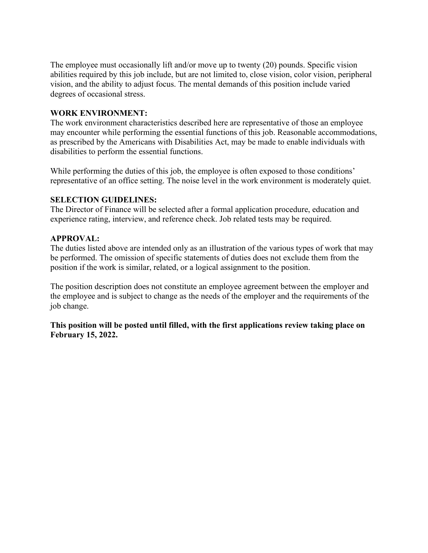The employee must occasionally lift and/or move up to twenty (20) pounds. Specific vision abilities required by this job include, but are not limited to, close vision, color vision, peripheral vision, and the ability to adjust focus. The mental demands of this position include varied degrees of occasional stress.

#### **WORK ENVIRONMENT:**

The work environment characteristics described here are representative of those an employee may encounter while performing the essential functions of this job. Reasonable accommodations, as prescribed by the Americans with Disabilities Act, may be made to enable individuals with disabilities to perform the essential functions.

While performing the duties of this job, the employee is often exposed to those conditions' representative of an office setting. The noise level in the work environment is moderately quiet.

#### **SELECTION GUIDELINES:**

The Director of Finance will be selected after a formal application procedure, education and experience rating, interview, and reference check. Job related tests may be required.

#### **APPROVAL:**

The duties listed above are intended only as an illustration of the various types of work that may be performed. The omission of specific statements of duties does not exclude them from the position if the work is similar, related, or a logical assignment to the position.

The position description does not constitute an employee agreement between the employer and the employee and is subject to change as the needs of the employer and the requirements of the job change.

**This position will be posted until filled, with the first applications review taking place on February 15, 2022.**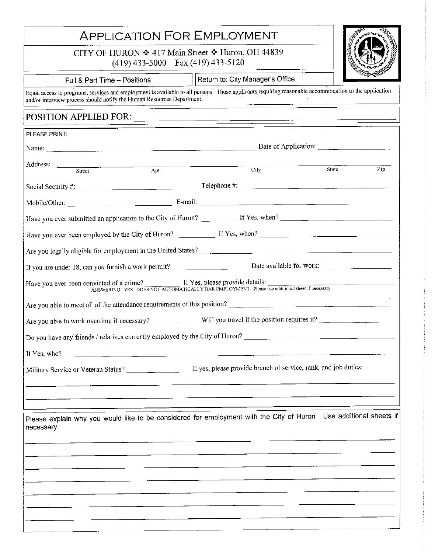## **APPLICATION FOR EMPLOYMENT**

CITY OF HURON ❖ 417 Main Street ❖ Huron, OH 44839

 $(419)$  433-5000 Fax (419) 433-5120



Full & Part Time - Positions

Return to: City Manager's Office

Equal access to programs, services and employment is available to all persons Those applicants requiring reasonable accommodation to the application and/or interview process should notify the Human Resources Department.

#### POSITION APPLIED FOR:

| PLEASE PRINT:                                                                                                                                                                                                                                                                                                                                                                      |  |     |                            |                                                                                                                                                                                                                                                                                                                                                                                 |     |
|------------------------------------------------------------------------------------------------------------------------------------------------------------------------------------------------------------------------------------------------------------------------------------------------------------------------------------------------------------------------------------|--|-----|----------------------------|---------------------------------------------------------------------------------------------------------------------------------------------------------------------------------------------------------------------------------------------------------------------------------------------------------------------------------------------------------------------------------|-----|
| Date of Application:                                                                                                                                                                                                                                                                                                                                                               |  |     |                            |                                                                                                                                                                                                                                                                                                                                                                                 |     |
| Address: Street                                                                                                                                                                                                                                                                                                                                                                    |  | Apt | $\overline{\mathrm{City}}$ | State                                                                                                                                                                                                                                                                                                                                                                           | Zip |
|                                                                                                                                                                                                                                                                                                                                                                                    |  |     |                            |                                                                                                                                                                                                                                                                                                                                                                                 |     |
|                                                                                                                                                                                                                                                                                                                                                                                    |  |     |                            | $\text{ Telephone #:}\n \begin{picture}(150,10) \put(0,0){\vector(1,0){100}} \put(15,0){\vector(1,0){100}} \put(15,0){\vector(1,0){100}} \put(15,0){\vector(1,0){100}} \put(15,0){\vector(1,0){100}} \put(15,0){\vector(1,0){100}} \put(15,0){\vector(1,0){100}} \put(15,0){\vector(1,0){100}} \put(15,0){\vector(1,0){100}} \put(15,0){\vector(1,0){100}} \put(15,0){\vector($ |     |
|                                                                                                                                                                                                                                                                                                                                                                                    |  |     |                            |                                                                                                                                                                                                                                                                                                                                                                                 |     |
|                                                                                                                                                                                                                                                                                                                                                                                    |  |     |                            |                                                                                                                                                                                                                                                                                                                                                                                 |     |
| Have you ever been employed by the City of Huron? If Yes, when? If Yes, when we have you ever been employed by the City of Huron?                                                                                                                                                                                                                                                  |  |     |                            |                                                                                                                                                                                                                                                                                                                                                                                 |     |
|                                                                                                                                                                                                                                                                                                                                                                                    |  |     |                            |                                                                                                                                                                                                                                                                                                                                                                                 |     |
| If you are under 18, can you furnish a work permit? $\frac{1}{\sqrt{1-\frac{1}{\sqrt{1-\frac{1}{\sqrt{1-\frac{1}{\sqrt{1-\frac{1}{\sqrt{1-\frac{1}{\sqrt{1-\frac{1}{\sqrt{1-\frac{1}{\sqrt{1-\frac{1}{\sqrt{1-\frac{1}{\sqrt{1-\frac{1}{\sqrt{1-\frac{1}{\sqrt{1-\frac{1}{\sqrt{1-\frac{1}{\sqrt{1-\frac{1}{\sqrt{1-\frac{1}{\sqrt{1-\frac{1}{\sqrt{1-\frac{1}{\sqrt{1-\frac{1}{\$ |  |     |                            |                                                                                                                                                                                                                                                                                                                                                                                 |     |
| Have you ever been convicted of a crime?<br>ANSWERING 'YES' DOES NOT AUTOMATICALLY BAR EMPLOYMENT Please use additional sheet if necessary                                                                                                                                                                                                                                         |  |     |                            |                                                                                                                                                                                                                                                                                                                                                                                 |     |
| Are you able to meet all of the attendance requirements of this position?                                                                                                                                                                                                                                                                                                          |  |     |                            |                                                                                                                                                                                                                                                                                                                                                                                 |     |
| Are you able to work overtime if necessary? Will you travel if the position requires it?                                                                                                                                                                                                                                                                                           |  |     |                            |                                                                                                                                                                                                                                                                                                                                                                                 |     |
| Do you have any friends / relatives currently employed by the City of Huron?                                                                                                                                                                                                                                                                                                       |  |     |                            |                                                                                                                                                                                                                                                                                                                                                                                 |     |
| If Yes, who? $\qquad \qquad \qquad$                                                                                                                                                                                                                                                                                                                                                |  |     |                            |                                                                                                                                                                                                                                                                                                                                                                                 |     |
|                                                                                                                                                                                                                                                                                                                                                                                    |  |     |                            | If yes, please provide branch of service, rank, and job duties:                                                                                                                                                                                                                                                                                                                 |     |
|                                                                                                                                                                                                                                                                                                                                                                                    |  |     |                            |                                                                                                                                                                                                                                                                                                                                                                                 |     |
| Please explain why you would like to be considered for employment with the City of Huron Use additional sheets if<br>necessary                                                                                                                                                                                                                                                     |  |     |                            |                                                                                                                                                                                                                                                                                                                                                                                 |     |
|                                                                                                                                                                                                                                                                                                                                                                                    |  |     |                            |                                                                                                                                                                                                                                                                                                                                                                                 |     |
|                                                                                                                                                                                                                                                                                                                                                                                    |  |     |                            |                                                                                                                                                                                                                                                                                                                                                                                 |     |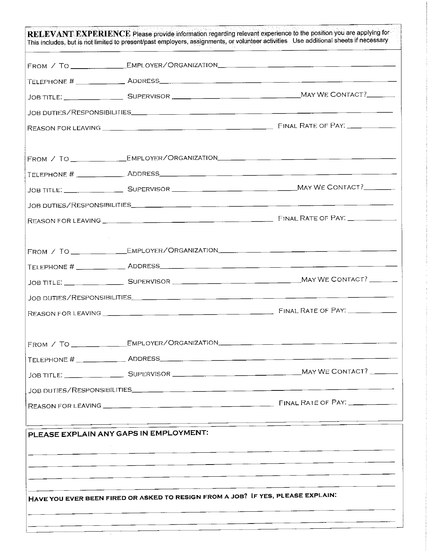| FROM / TO _________________EMPLOYER/ORGANIZATION_________________________________ |  |
|-----------------------------------------------------------------------------------|--|
|                                                                                   |  |
|                                                                                   |  |
|                                                                                   |  |
|                                                                                   |  |
| PLEASE EXPLAIN ANY GAPS IN EMPLOYMENT:                                            |  |
|                                                                                   |  |
|                                                                                   |  |
|                                                                                   |  |
|                                                                                   |  |